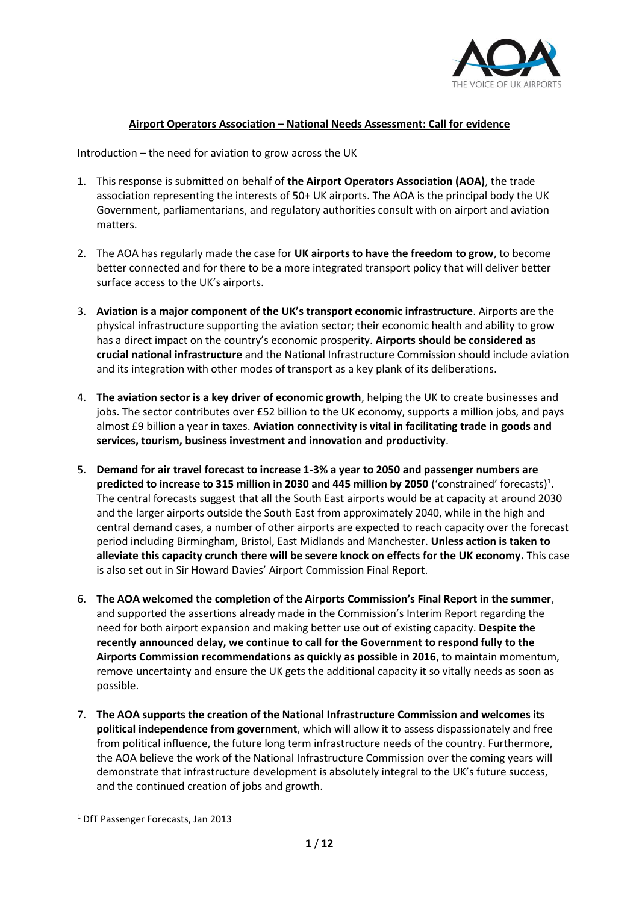

# **Airport Operators Association – National Needs Assessment: Call for evidence**

#### Introduction – the need for aviation to grow across the UK

- 1. This response is submitted on behalf of **the Airport Operators Association (AOA)**, the trade association representing the interests of 50+ UK airports. The AOA is the principal body the UK Government, parliamentarians, and regulatory authorities consult with on airport and aviation matters.
- 2. The AOA has regularly made the case for **UK airports to have the freedom to grow**, to become better connected and for there to be a more integrated transport policy that will deliver better surface access to the UK's airports.
- 3. **Aviation is a major component of the UK's transport economic infrastructure**. Airports are the physical infrastructure supporting the aviation sector; their economic health and ability to grow has a direct impact on the country's economic prosperity. **Airports should be considered as crucial national infrastructure** and the National Infrastructure Commission should include aviation and its integration with other modes of transport as a key plank of its deliberations.
- 4. **The aviation sector is a key driver of economic growth**, helping the UK to create businesses and jobs. The sector contributes over £52 billion to the UK economy, supports a million jobs, and pays almost £9 billion a year in taxes. **Aviation connectivity is vital in facilitating trade in goods and services, tourism, business investment and innovation and productivity**.
- 5. **Demand for air travel forecast to increase 1-3% a year to 2050 and passenger numbers are**  predicted to increase to 315 million in 2030 and 445 million by 2050 ('constrained' forecasts)<sup>1</sup>. The central forecasts suggest that all the South East airports would be at capacity at around 2030 and the larger airports outside the South East from approximately 2040, while in the high and central demand cases, a number of other airports are expected to reach capacity over the forecast period including Birmingham, Bristol, East Midlands and Manchester. **Unless action is taken to alleviate this capacity crunch there will be severe knock on effects for the UK economy.** This case is also set out in Sir Howard Davies' Airport Commission Final Report.
- 6. **The AOA welcomed the completion of the Airports Commission's Final Report in the summer**, and supported the assertions already made in the Commission's Interim Report regarding the need for both airport expansion and making better use out of existing capacity. **Despite the recently announced delay, we continue to call for the Government to respond fully to the Airports Commission recommendations as quickly as possible in 2016**, to maintain momentum, remove uncertainty and ensure the UK gets the additional capacity it so vitally needs as soon as possible.
- 7. **The AOA supports the creation of the National Infrastructure Commission and welcomes its political independence from government**, which will allow it to assess dispassionately and free from political influence, the future long term infrastructure needs of the country. Furthermore, the AOA believe the work of the National Infrastructure Commission over the coming years will demonstrate that infrastructure development is absolutely integral to the UK's future success, and the continued creation of jobs and growth.

**.** 

<sup>1</sup> DfT Passenger Forecasts, Jan 2013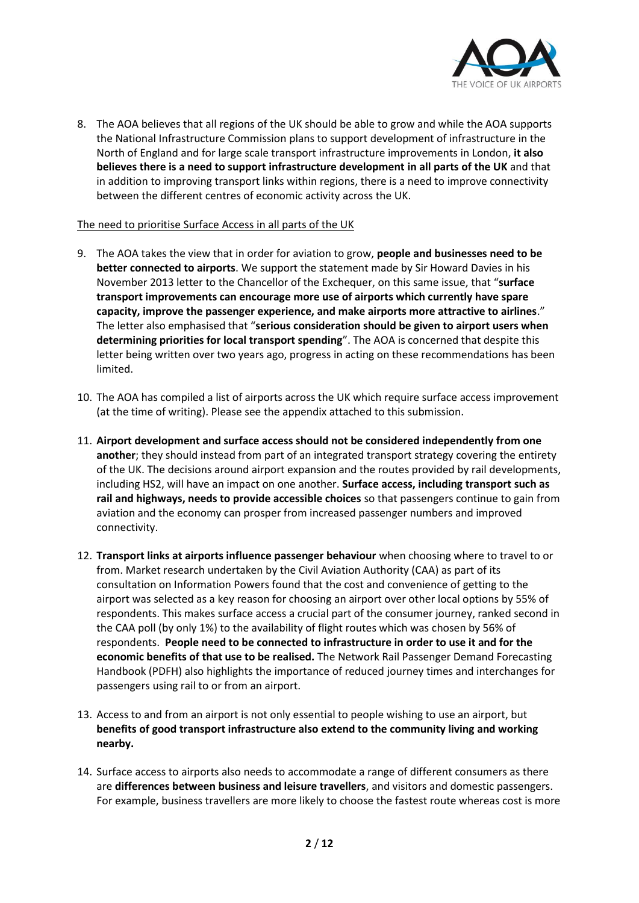

8. The AOA believes that all regions of the UK should be able to grow and while the AOA supports the National Infrastructure Commission plans to support development of infrastructure in the North of England and for large scale transport infrastructure improvements in London, **it also believes there is a need to support infrastructure development in all parts of the UK** and that in addition to improving transport links within regions, there is a need to improve connectivity between the different centres of economic activity across the UK.

#### The need to prioritise Surface Access in all parts of the UK

- 9. The AOA takes the view that in order for aviation to grow, **people and businesses need to be better connected to airports**. We support the statement made by Sir Howard Davies in his November 2013 letter to the Chancellor of the Exchequer, on this same issue, that "**surface transport improvements can encourage more use of airports which currently have spare capacity, improve the passenger experience, and make airports more attractive to airlines**." The letter also emphasised that "**serious consideration should be given to airport users when determining priorities for local transport spending**". The AOA is concerned that despite this letter being written over two years ago, progress in acting on these recommendations has been limited.
- 10. The AOA has compiled a list of airports across the UK which require surface access improvement (at the time of writing). Please see the appendix attached to this submission.
- 11. **Airport development and surface access should not be considered independently from one another**; they should instead from part of an integrated transport strategy covering the entirety of the UK. The decisions around airport expansion and the routes provided by rail developments, including HS2, will have an impact on one another. **Surface access, including transport such as rail and highways, needs to provide accessible choices** so that passengers continue to gain from aviation and the economy can prosper from increased passenger numbers and improved connectivity.
- 12. **Transport links at airports influence passenger behaviour** when choosing where to travel to or from. Market research undertaken by the Civil Aviation Authority (CAA) as part of its consultation on Information Powers found that the cost and convenience of getting to the airport was selected as a key reason for choosing an airport over other local options by 55% of respondents. This makes surface access a crucial part of the consumer journey, ranked second in the CAA poll (by only 1%) to the availability of flight routes which was chosen by 56% of respondents. **People need to be connected to infrastructure in order to use it and for the economic benefits of that use to be realised.** The Network Rail Passenger Demand Forecasting Handbook (PDFH) also highlights the importance of reduced journey times and interchanges for passengers using rail to or from an airport.
- 13. Access to and from an airport is not only essential to people wishing to use an airport, but **benefits of good transport infrastructure also extend to the community living and working nearby.**
- 14. Surface access to airports also needs to accommodate a range of different consumers as there are **differences between business and leisure travellers**, and visitors and domestic passengers. For example, business travellers are more likely to choose the fastest route whereas cost is more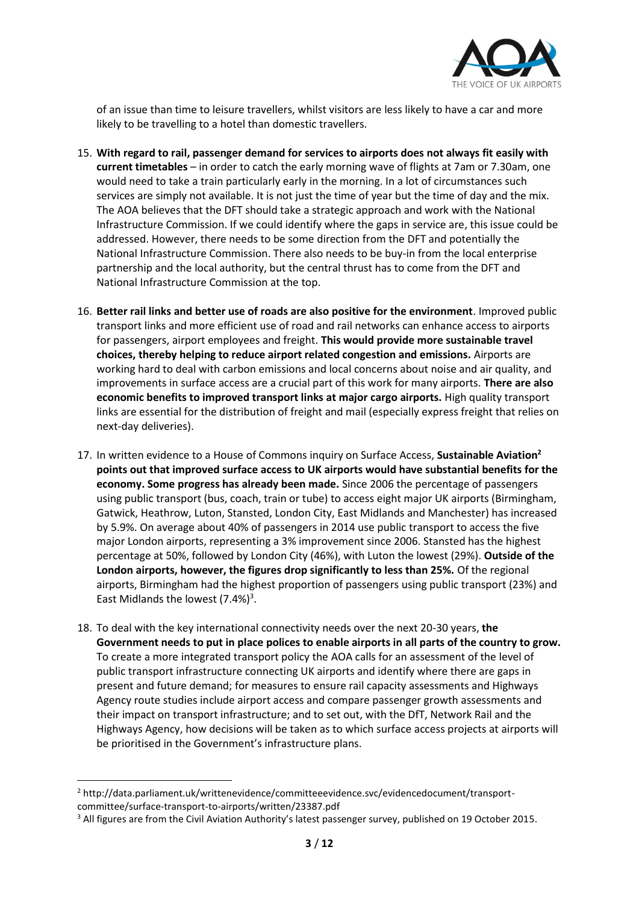

of an issue than time to leisure travellers, whilst visitors are less likely to have a car and more likely to be travelling to a hotel than domestic travellers.

- 15. **With regard to rail, passenger demand for services to airports does not always fit easily with current timetables** – in order to catch the early morning wave of flights at 7am or 7.30am, one would need to take a train particularly early in the morning. In a lot of circumstances such services are simply not available. It is not just the time of year but the time of day and the mix. The AOA believes that the DFT should take a strategic approach and work with the National Infrastructure Commission. If we could identify where the gaps in service are, this issue could be addressed. However, there needs to be some direction from the DFT and potentially the National Infrastructure Commission. There also needs to be buy-in from the local enterprise partnership and the local authority, but the central thrust has to come from the DFT and National Infrastructure Commission at the top.
- 16. **Better rail links and better use of roads are also positive for the environment**. Improved public transport links and more efficient use of road and rail networks can enhance access to airports for passengers, airport employees and freight. **This would provide more sustainable travel choices, thereby helping to reduce airport related congestion and emissions.** Airports are working hard to deal with carbon emissions and local concerns about noise and air quality, and improvements in surface access are a crucial part of this work for many airports. **There are also economic benefits to improved transport links at major cargo airports.** High quality transport links are essential for the distribution of freight and mail (especially express freight that relies on next-day deliveries).
- 17. In written evidence to a House of Commons inquiry on Surface Access, **Sustainable Aviation<sup>2</sup> points out that improved surface access to UK airports would have substantial benefits for the economy. Some progress has already been made.** Since 2006 the percentage of passengers using public transport (bus, coach, train or tube) to access eight major UK airports (Birmingham, Gatwick, Heathrow, Luton, Stansted, London City, East Midlands and Manchester) has increased by 5.9%. On average about 40% of passengers in 2014 use public transport to access the five major London airports, representing a 3% improvement since 2006. Stansted has the highest percentage at 50%, followed by London City (46%), with Luton the lowest (29%). **Outside of the London airports, however, the figures drop significantly to less than 25%.** Of the regional airports, Birmingham had the highest proportion of passengers using public transport (23%) and East Midlands the lowest  $(7.4%)^3$ .
- 18. To deal with the key international connectivity needs over the next 20-30 years, **the Government needs to put in place polices to enable airports in all parts of the country to grow.** To create a more integrated transport policy the AOA calls for an assessment of the level of public transport infrastructure connecting UK airports and identify where there are gaps in present and future demand; for measures to ensure rail capacity assessments and Highways Agency route studies include airport access and compare passenger growth assessments and their impact on transport infrastructure; and to set out, with the DfT, Network Rail and the Highways Agency, how decisions will be taken as to which surface access projects at airports will be prioritised in the Government's infrastructure plans.

**.** 

<sup>2</sup> http://data.parliament.uk/writtenevidence/committeeevidence.svc/evidencedocument/transportcommittee/surface-transport-to-airports/written/23387.pdf

<sup>&</sup>lt;sup>3</sup> All figures are from the Civil Aviation Authority's latest passenger survey, published on 19 October 2015.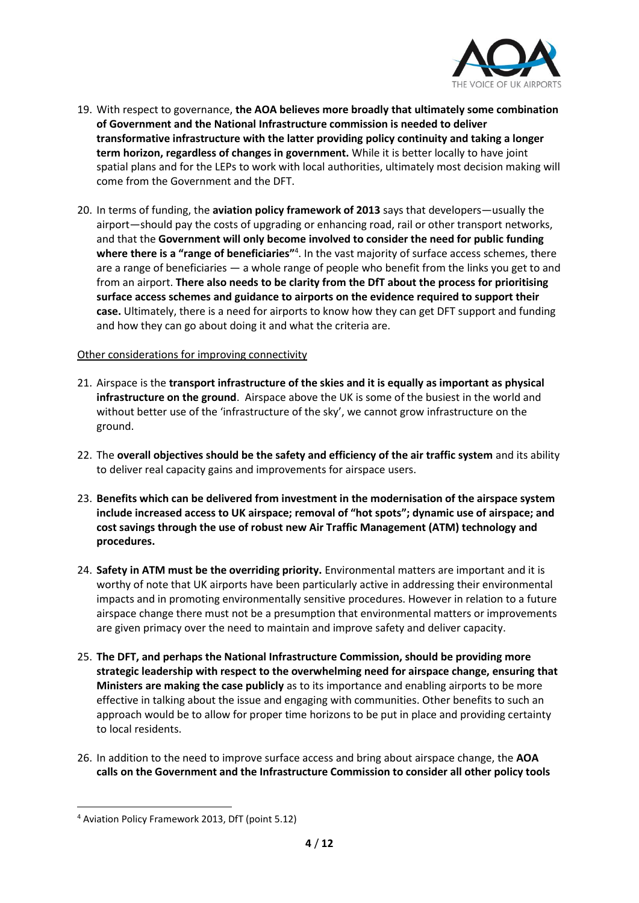

- 19. With respect to governance, **the AOA believes more broadly that ultimately some combination of Government and the National Infrastructure commission is needed to deliver transformative infrastructure with the latter providing policy continuity and taking a longer term horizon, regardless of changes in government.** While it is better locally to have joint spatial plans and for the LEPs to work with local authorities, ultimately most decision making will come from the Government and the DFT.
- 20. In terms of funding, the **aviation policy framework of 2013** says that developers—usually the airport—should pay the costs of upgrading or enhancing road, rail or other transport networks, and that the **Government will only become involved to consider the need for public funding**  where there is a "range of beneficiaries"<sup>4</sup>. In the vast majority of surface access schemes, there are a range of beneficiaries — a whole range of people who benefit from the links you get to and from an airport. **There also needs to be clarity from the DfT about the process for prioritising surface access schemes and guidance to airports on the evidence required to support their case.** Ultimately, there is a need for airports to know how they can get DFT support and funding and how they can go about doing it and what the criteria are.

#### Other considerations for improving connectivity

- 21. Airspace is the **transport infrastructure of the skies and it is equally as important as physical infrastructure on the ground**. Airspace above the UK is some of the busiest in the world and without better use of the 'infrastructure of the sky', we cannot grow infrastructure on the ground.
- 22. The **overall objectives should be the safety and efficiency of the air traffic system** and its ability to deliver real capacity gains and improvements for airspace users.
- 23. **Benefits which can be delivered from investment in the modernisation of the airspace system include increased access to UK airspace; removal of "hot spots"; dynamic use of airspace; and cost savings through the use of robust new Air Traffic Management (ATM) technology and procedures.**
- 24. **Safety in ATM must be the overriding priority.** Environmental matters are important and it is worthy of note that UK airports have been particularly active in addressing their environmental impacts and in promoting environmentally sensitive procedures. However in relation to a future airspace change there must not be a presumption that environmental matters or improvements are given primacy over the need to maintain and improve safety and deliver capacity.
- 25. **The DFT, and perhaps the National Infrastructure Commission, should be providing more strategic leadership with respect to the overwhelming need for airspace change, ensuring that Ministers are making the case publicly** as to its importance and enabling airports to be more effective in talking about the issue and engaging with communities. Other benefits to such an approach would be to allow for proper time horizons to be put in place and providing certainty to local residents.
- 26. In addition to the need to improve surface access and bring about airspace change, the **AOA calls on the Government and the Infrastructure Commission to consider all other policy tools**

**.** 

<sup>4</sup> Aviation Policy Framework 2013, DfT (point 5.12)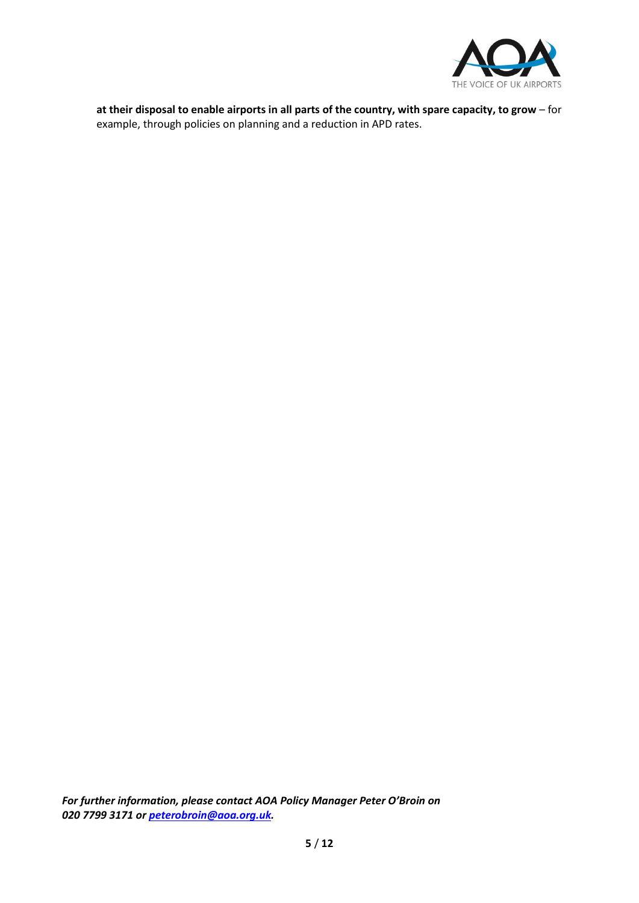

**at their disposal to enable airports in all parts of the country, with spare capacity, to grow** – for example, through policies on planning and a reduction in APD rates.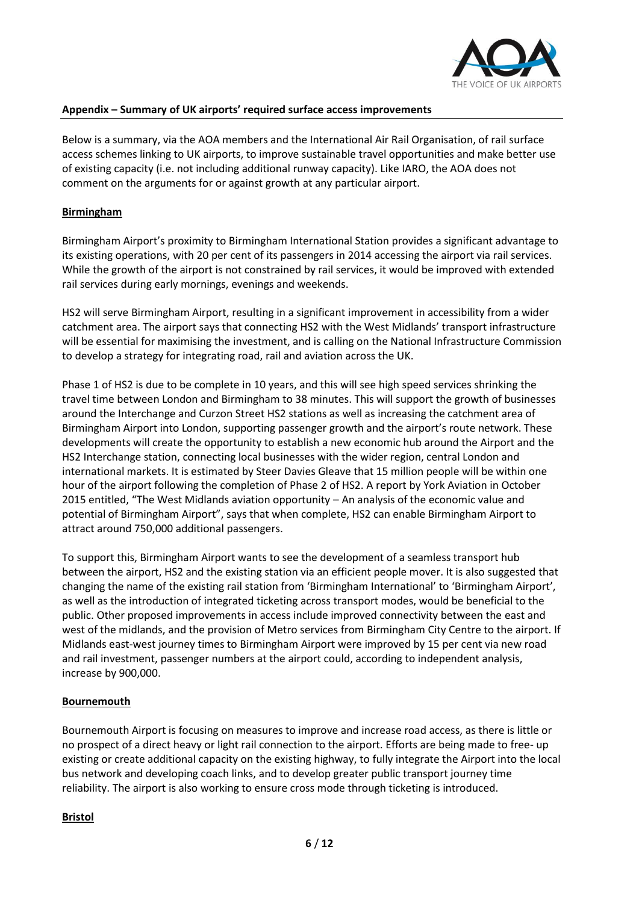

### **Appendix – Summary of UK airports' required surface access improvements**

Below is a summary, via the AOA members and the International Air Rail Organisation, of rail surface access schemes linking to UK airports, to improve sustainable travel opportunities and make better use of existing capacity (i.e. not including additional runway capacity). Like IARO, the AOA does not comment on the arguments for or against growth at any particular airport.

### **Birmingham**

Birmingham Airport's proximity to Birmingham International Station provides a significant advantage to its existing operations, with 20 per cent of its passengers in 2014 accessing the airport via rail services. While the growth of the airport is not constrained by rail services, it would be improved with extended rail services during early mornings, evenings and weekends.

HS2 will serve Birmingham Airport, resulting in a significant improvement in accessibility from a wider catchment area. The airport says that connecting HS2 with the West Midlands' transport infrastructure will be essential for maximising the investment, and is calling on the National Infrastructure Commission to develop a strategy for integrating road, rail and aviation across the UK.

Phase 1 of HS2 is due to be complete in 10 years, and this will see high speed services shrinking the travel time between London and Birmingham to 38 minutes. This will support the growth of businesses around the Interchange and Curzon Street HS2 stations as well as increasing the catchment area of Birmingham Airport into London, supporting passenger growth and the airport's route network. These developments will create the opportunity to establish a new economic hub around the Airport and the HS2 Interchange station, connecting local businesses with the wider region, central London and international markets. It is estimated by Steer Davies Gleave that 15 million people will be within one hour of the airport following the completion of Phase 2 of HS2. A report by York Aviation in October 2015 entitled, "The West Midlands aviation opportunity – An analysis of the economic value and potential of Birmingham Airport", says that when complete, HS2 can enable Birmingham Airport to attract around 750,000 additional passengers.

To support this, Birmingham Airport wants to see the development of a seamless transport hub between the airport, HS2 and the existing station via an efficient people mover. It is also suggested that changing the name of the existing rail station from 'Birmingham International' to 'Birmingham Airport', as well as the introduction of integrated ticketing across transport modes, would be beneficial to the public. Other proposed improvements in access include improved connectivity between the east and west of the midlands, and the provision of Metro services from Birmingham City Centre to the airport. If Midlands east-west journey times to Birmingham Airport were improved by 15 per cent via new road and rail investment, passenger numbers at the airport could, according to independent analysis, increase by 900,000.

# **Bournemouth**

Bournemouth Airport is focusing on measures to improve and increase road access, as there is little or no prospect of a direct heavy or light rail connection to the airport. Efforts are being made to free- up existing or create additional capacity on the existing highway, to fully integrate the Airport into the local bus network and developing coach links, and to develop greater public transport journey time reliability. The airport is also working to ensure cross mode through ticketing is introduced.

#### **Bristol**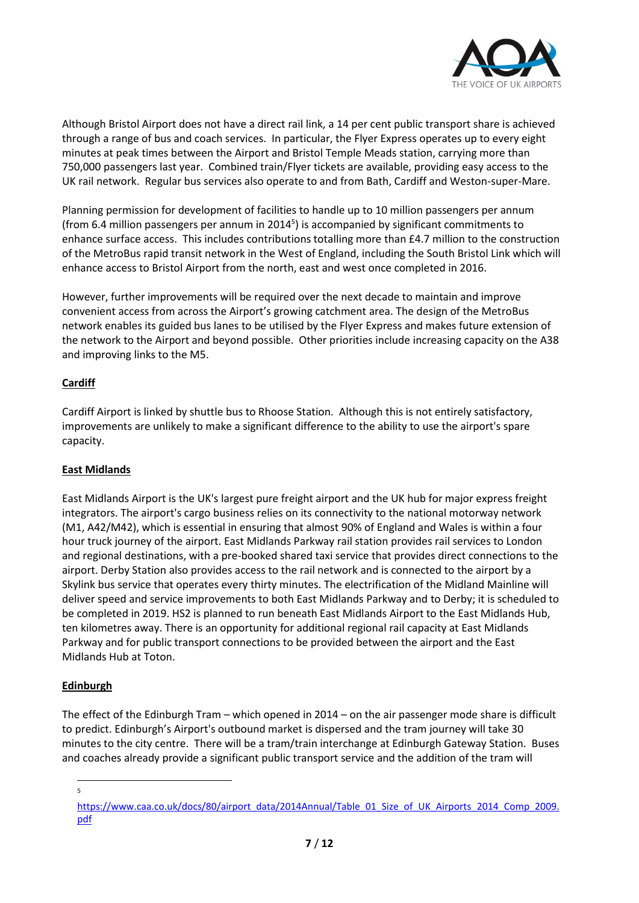

Although Bristol Airport does not have a direct rail link, a 14 per cent public transport share is achieved through a range of bus and coach services. In particular, the Flyer Express operates up to every eight minutes at peak times between the Airport and Bristol Temple Meads station, carrying more than 750,000 passengers last year. Combined train/Flyer tickets are available, providing easy access to the UK rail network. Regular bus services also operate to and from Bath, Cardiff and Weston-super-Mare.

Planning permission for development of facilities to handle up to 10 million passengers per annum (from 6.4 million passengers per annum in 2014<sup>5</sup>) is accompanied by significant commitments to enhance surface access. This includes contributions totalling more than £4.7 million to the construction of the MetroBus rapid transit network in the West of England, including the South Bristol Link which will enhance access to Bristol Airport from the north, east and west once completed in 2016.

However, further improvements will be required over the next decade to maintain and improve convenient access from across the Airport's growing catchment area. The design of the MetroBus network enables its guided bus lanes to be utilised by the Flyer Express and makes future extension of the network to the Airport and beyond possible. Other priorities include increasing capacity on the A38 and improving links to the M5.

# **Cardiff**

Cardiff Airport is linked by shuttle bus to Rhoose Station. Although this is not entirely satisfactory, improvements are unlikely to make a significant difference to the ability to use the airport's spare capacity.

# **East Midlands**

East Midlands Airport is the UK's largest pure freight airport and the UK hub for major express freight integrators. The airport's cargo business relies on its connectivity to the national motorway network (M1, A42/M42), which is essential in ensuring that almost 90% of England and Wales is within a four hour truck journey of the airport. East Midlands Parkway rail station provides rail services to London and regional destinations, with a pre-booked shared taxi service that provides direct connections to the airport. Derby Station also provides access to the rail network and is connected to the airport by a Skylink bus service that operates every thirty minutes. The electrification of the Midland Mainline will deliver speed and service improvements to both East Midlands Parkway and to Derby; it is scheduled to be completed in 2019. HS2 is planned to run beneath East Midlands Airport to the East Midlands Hub, ten kilometres away. There is an opportunity for additional regional rail capacity at East Midlands Parkway and for public transport connections to be provided between the airport and the East Midlands Hub at Toton.

# **Edinburgh**

The effect of the Edinburgh Tram – which opened in 2014 – on the air passenger mode share is difficult to predict. Edinburgh's Airport's outbound market is dispersed and the tram journey will take 30 minutes to the city centre. There will be a tram/train interchange at Edinburgh Gateway Station. Buses and coaches already provide a significant public transport service and the addition of the tram will

-<br>5

[https://www.caa.co.uk/docs/80/airport\\_data/2014Annual/Table\\_01\\_Size\\_of\\_UK\\_Airports\\_2014\\_Comp\\_2009.](https://www.caa.co.uk/docs/80/airport_data/2014Annual/Table_01_Size_of_UK_Airports_2014_Comp_2009.pdf) [pdf](https://www.caa.co.uk/docs/80/airport_data/2014Annual/Table_01_Size_of_UK_Airports_2014_Comp_2009.pdf)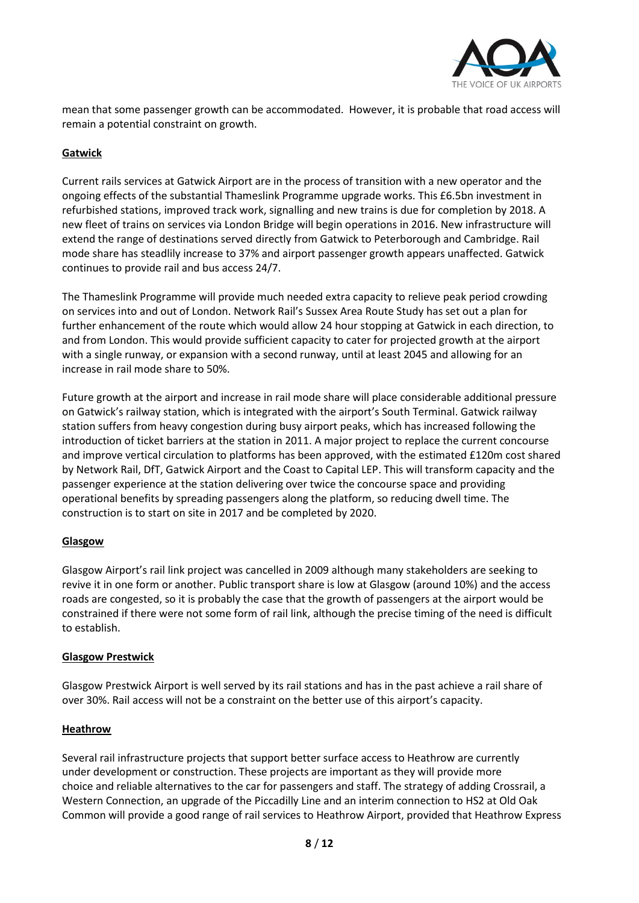

mean that some passenger growth can be accommodated. However, it is probable that road access will remain a potential constraint on growth.

### **Gatwick**

Current rails services at Gatwick Airport are in the process of transition with a new operator and the ongoing effects of the substantial Thameslink Programme upgrade works. This £6.5bn investment in refurbished stations, improved track work, signalling and new trains is due for completion by 2018. A new fleet of trains on services via London Bridge will begin operations in 2016. New infrastructure will extend the range of destinations served directly from Gatwick to Peterborough and Cambridge. Rail mode share has steadlily increase to 37% and airport passenger growth appears unaffected. Gatwick continues to provide rail and bus access 24/7.

The Thameslink Programme will provide much needed extra capacity to relieve peak period crowding on services into and out of London. Network Rail's Sussex Area Route Study has set out a plan for further enhancement of the route which would allow 24 hour stopping at Gatwick in each direction, to and from London. This would provide sufficient capacity to cater for projected growth at the airport with a single runway, or expansion with a second runway, until at least 2045 and allowing for an increase in rail mode share to 50%.

Future growth at the airport and increase in rail mode share will place considerable additional pressure on Gatwick's railway station, which is integrated with the airport's South Terminal. Gatwick railway station suffers from heavy congestion during busy airport peaks, which has increased following the introduction of ticket barriers at the station in 2011. A major project to replace the current concourse and improve vertical circulation to platforms has been approved, with the estimated £120m cost shared by Network Rail, DfT, Gatwick Airport and the Coast to Capital LEP. This will transform capacity and the passenger experience at the station delivering over twice the concourse space and providing operational benefits by spreading passengers along the platform, so reducing dwell time. The construction is to start on site in 2017 and be completed by 2020.

#### **Glasgow**

Glasgow Airport's rail link project was cancelled in 2009 although many stakeholders are seeking to revive it in one form or another. Public transport share is low at Glasgow (around 10%) and the access roads are congested, so it is probably the case that the growth of passengers at the airport would be constrained if there were not some form of rail link, although the precise timing of the need is difficult to establish.

#### **Glasgow Prestwick**

Glasgow Prestwick Airport is well served by its rail stations and has in the past achieve a rail share of over 30%. Rail access will not be a constraint on the better use of this airport's capacity.

#### **Heathrow**

Several rail infrastructure projects that support better surface access to Heathrow are currently under development or construction. These projects are important as they will provide more choice and reliable alternatives to the car for passengers and staff. The strategy of adding Crossrail, a Western Connection, an upgrade of the Piccadilly Line and an interim connection to HS2 at Old Oak Common will provide a good range of rail services to Heathrow Airport, provided that Heathrow Express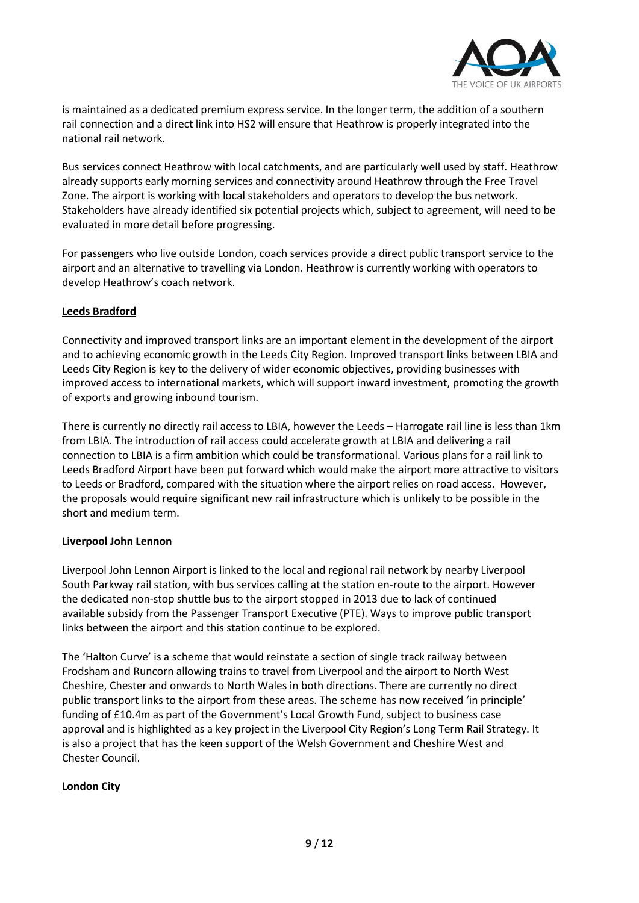

is maintained as a dedicated premium express service. In the longer term, the addition of a southern rail connection and a direct link into HS2 will ensure that Heathrow is properly integrated into the national rail network.

Bus services connect Heathrow with local catchments, and are particularly well used by staff. Heathrow already supports early morning services and connectivity around Heathrow through the Free Travel Zone. The airport is working with local stakeholders and operators to develop the bus network. Stakeholders have already identified six potential projects which, subject to agreement, will need to be evaluated in more detail before progressing.

For passengers who live outside London, coach services provide a direct public transport service to the airport and an alternative to travelling via London. Heathrow is currently working with operators to develop Heathrow's coach network.

### **Leeds Bradford**

Connectivity and improved transport links are an important element in the development of the airport and to achieving economic growth in the Leeds City Region. Improved transport links between LBIA and Leeds City Region is key to the delivery of wider economic objectives, providing businesses with improved access to international markets, which will support inward investment, promoting the growth of exports and growing inbound tourism.

There is currently no directly rail access to LBIA, however the Leeds – Harrogate rail line is less than 1km from LBIA. The introduction of rail access could accelerate growth at LBIA and delivering a rail connection to LBIA is a firm ambition which could be transformational. Various plans for a rail link to Leeds Bradford Airport have been put forward which would make the airport more attractive to visitors to Leeds or Bradford, compared with the situation where the airport relies on road access. However, the proposals would require significant new rail infrastructure which is unlikely to be possible in the short and medium term.

#### **Liverpool John Lennon**

Liverpool John Lennon Airport is linked to the local and regional rail network by nearby Liverpool South Parkway rail station, with bus services calling at the station en-route to the airport. However the dedicated non-stop shuttle bus to the airport stopped in 2013 due to lack of continued available subsidy from the Passenger Transport Executive (PTE). Ways to improve public transport links between the airport and this station continue to be explored.

The 'Halton Curve' is a scheme that would reinstate a section of single track railway between Frodsham and Runcorn allowing trains to travel from Liverpool and the airport to North West Cheshire, Chester and onwards to North Wales in both directions. There are currently no direct public transport links to the airport from these areas. The scheme has now received 'in principle' funding of £10.4m as part of the Government's Local Growth Fund, subject to business case approval and is highlighted as a key project in the Liverpool City Region's Long Term Rail Strategy. It is also a project that has the keen support of the Welsh Government and Cheshire West and Chester Council.

#### **London City**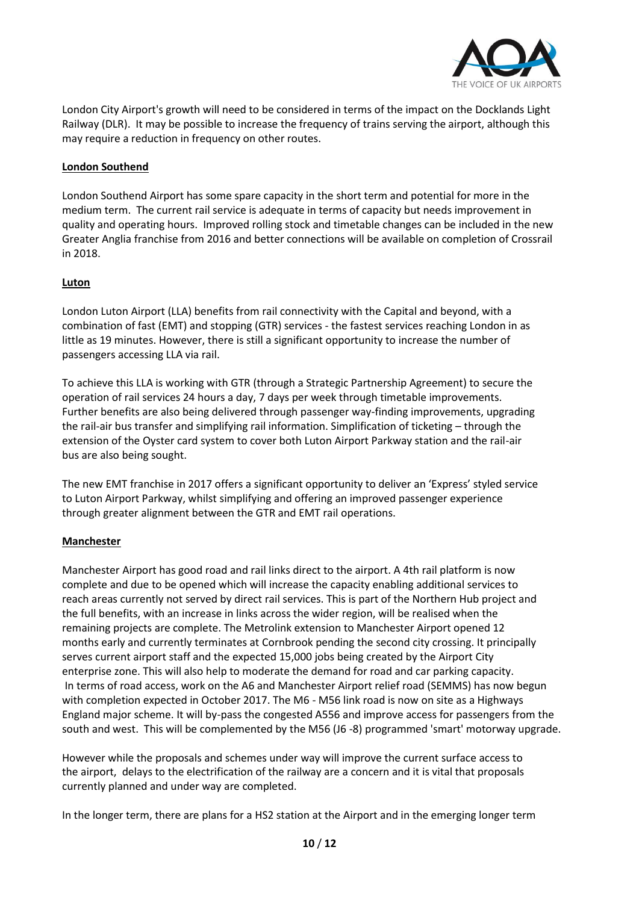

London City Airport's growth will need to be considered in terms of the impact on the Docklands Light Railway (DLR). It may be possible to increase the frequency of trains serving the airport, although this may require a reduction in frequency on other routes.

# **London Southend**

London Southend Airport has some spare capacity in the short term and potential for more in the medium term. The current rail service is adequate in terms of capacity but needs improvement in quality and operating hours. Improved rolling stock and timetable changes can be included in the new Greater Anglia franchise from 2016 and better connections will be available on completion of Crossrail in 2018.

# **Luton**

London Luton Airport (LLA) benefits from rail connectivity with the Capital and beyond, with a combination of fast (EMT) and stopping (GTR) services - the fastest services reaching London in as little as 19 minutes. However, there is still a significant opportunity to increase the number of passengers accessing LLA via rail.

To achieve this LLA is working with GTR (through a Strategic Partnership Agreement) to secure the operation of rail services 24 hours a day, 7 days per week through timetable improvements. Further benefits are also being delivered through passenger way-finding improvements, upgrading the rail-air bus transfer and simplifying rail information. Simplification of ticketing – through the extension of the Oyster card system to cover both Luton Airport Parkway station and the rail-air bus are also being sought.

The new EMT franchise in 2017 offers a significant opportunity to deliver an 'Express' styled service to Luton Airport Parkway, whilst simplifying and offering an improved passenger experience through greater alignment between the GTR and EMT rail operations.

# **Manchester**

Manchester Airport has good road and rail links direct to the airport. A 4th rail platform is now complete and due to be opened which will increase the capacity enabling additional services to reach areas currently not served by direct rail services. This is part of the Northern Hub project and the full benefits, with an increase in links across the wider region, will be realised when the remaining projects are complete. The Metrolink extension to Manchester Airport opened 12 months early and currently terminates at Cornbrook pending the second city crossing. It principally serves current airport staff and the expected 15,000 jobs being created by the Airport City enterprise zone. This will also help to moderate the demand for road and car parking capacity. In terms of road access, work on the A6 and Manchester Airport relief road (SEMMS) has now begun with completion expected in October 2017. The M6 - M56 link road is now on site as a Highways England major scheme. It will by-pass the congested A556 and improve access for passengers from the south and west. This will be complemented by the M56 (J6 -8) programmed 'smart' motorway upgrade.

However while the proposals and schemes under way will improve the current surface access to the airport, delays to the electrification of the railway are a concern and it is vital that proposals currently planned and under way are completed.

In the longer term, there are plans for a HS2 station at the Airport and in the emerging longer term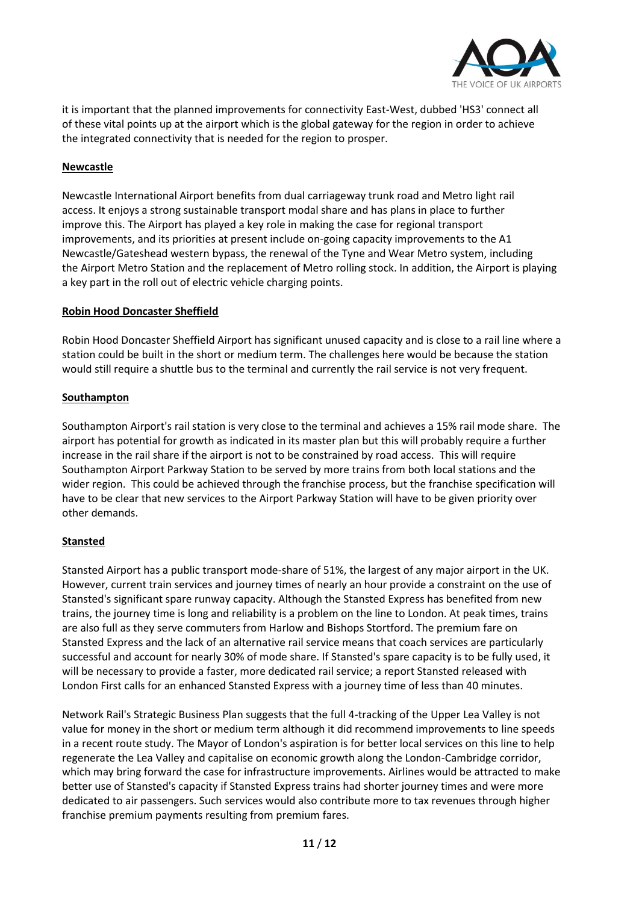

it is important that the planned improvements for connectivity East-West, dubbed 'HS3' connect all of these vital points up at the airport which is the global gateway for the region in order to achieve the integrated connectivity that is needed for the region to prosper.

### **Newcastle**

Newcastle International Airport benefits from dual carriageway trunk road and Metro light rail access. It enjoys a strong sustainable transport modal share and has plans in place to further improve this. The Airport has played a key role in making the case for regional transport improvements, and its priorities at present include on-going capacity improvements to the A1 Newcastle/Gateshead western bypass, the renewal of the Tyne and Wear Metro system, including the Airport Metro Station and the replacement of Metro rolling stock. In addition, the Airport is playing a key part in the roll out of electric vehicle charging points.

#### **Robin Hood Doncaster Sheffield**

Robin Hood Doncaster Sheffield Airport has significant unused capacity and is close to a rail line where a station could be built in the short or medium term. The challenges here would be because the station would still require a shuttle bus to the terminal and currently the rail service is not very frequent.

#### **Southampton**

Southampton Airport's rail station is very close to the terminal and achieves a 15% rail mode share. The airport has potential for growth as indicated in its master plan but this will probably require a further increase in the rail share if the airport is not to be constrained by road access. This will require Southampton Airport Parkway Station to be served by more trains from both local stations and the wider region. This could be achieved through the franchise process, but the franchise specification will have to be clear that new services to the Airport Parkway Station will have to be given priority over other demands.

#### **Stansted**

Stansted Airport has a public transport mode-share of 51%, the largest of any major airport in the UK. However, current train services and journey times of nearly an hour provide a constraint on the use of Stansted's significant spare runway capacity. Although the Stansted Express has benefited from new trains, the journey time is long and reliability is a problem on the line to London. At peak times, trains are also full as they serve commuters from Harlow and Bishops Stortford. The premium fare on Stansted Express and the lack of an alternative rail service means that coach services are particularly successful and account for nearly 30% of mode share. If Stansted's spare capacity is to be fully used, it will be necessary to provide a faster, more dedicated rail service; a report Stansted released with London First calls for an enhanced Stansted Express with a journey time of less than 40 minutes.

Network Rail's Strategic Business Plan suggests that the full 4-tracking of the Upper Lea Valley is not value for money in the short or medium term although it did recommend improvements to line speeds in a recent route study. The Mayor of London's aspiration is for better local services on this line to help regenerate the Lea Valley and capitalise on economic growth along the London-Cambridge corridor, which may bring forward the case for infrastructure improvements. Airlines would be attracted to make better use of Stansted's capacity if Stansted Express trains had shorter journey times and were more dedicated to air passengers. Such services would also contribute more to tax revenues through higher franchise premium payments resulting from premium fares.